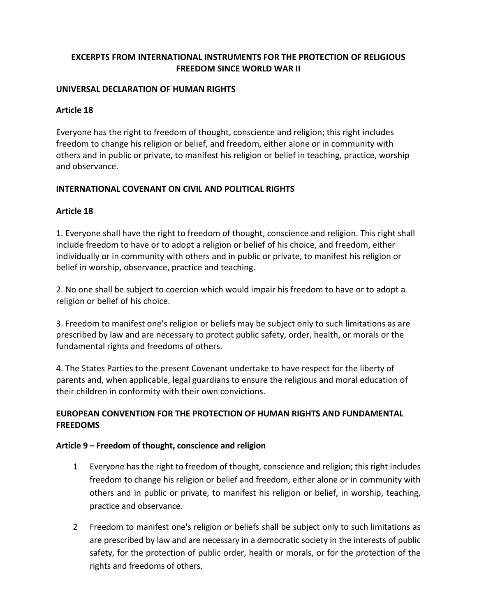### **EXCERPTS FROM INTERNATIONAL INSTRUMENTS FOR THE PROTECTION OF RELIGIOUS FREEDOM SINCE WORLD WAR II**

#### **UNIVERSAL DECLARATION OF HUMAN RIGHTS**

#### **Article 18**

Everyone has the right to freedom of thought, conscience and religion; this right includes freedom to change his religion or belief, and freedom, either alone or in community with others and in public or private, to manifest his religion or belief in teaching, practice, worship and observance.

#### **INTERNATIONAL COVENANT ON CIVIL AND POLITICAL RIGHTS**

#### **Article 18**

1. Everyone shall have the right to freedom of thought, conscience and religion. This right shall include freedom to have or to adopt a religion or belief of his choice, and freedom, either individually or in community with others and in public or private, to manifest his religion or belief in worship, observance, practice and teaching.

2. No one shall be subject to coercion which would impair his freedom to have or to adopt a religion or belief of his choice.

3. Freedom to manifest one's religion or beliefs may be subject only to such limitations as are prescribed by law and are necessary to protect public safety, order, health, or morals or the fundamental rights and freedoms of others.

4. The States Parties to the present Covenant undertake to have respect for the liberty of parents and, when applicable, legal guardians to ensure the religious and moral education of their children in conformity with their own convictions.

### **EUROPEAN CONVENTION FOR THE PROTECTION OF HUMAN RIGHTS AND FUNDAMENTAL FREEDOMS**

#### **Article 9 – Freedom of thought, conscience and religion**

- 1 Everyone has the right to freedom of thought, conscience and religion; this right includes freedom to change his religion or belief and freedom, either alone or in community with others and in public or private, to manifest his religion or belief, in worship, teaching, practice and observance.
- 2 Freedom to manifest one's religion or beliefs shall be subject only to such limitations as are prescribed by law and are necessary in a democratic society in the interests of public safety, for the protection of public order, health or morals, or for the protection of the rights and freedoms of others.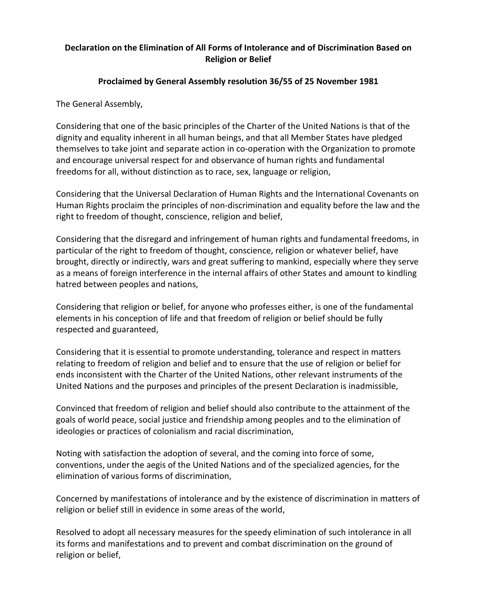### **Declaration on the Elimination of All Forms of Intolerance and of Discrimination Based on Religion or Belief**

### **Proclaimed by General Assembly resolution 36/55 of 25 November 1981**

The General Assembly,

Considering that one of the basic principles of the Charter of the United Nations is that of the dignity and equality inherent in all human beings, and that all Member States have pledged themselves to take joint and separate action in co-operation with the Organization to promote and encourage universal respect for and observance of human rights and fundamental freedoms for all, without distinction as to race, sex, language or religion,

Considering that the Universal Declaration of Human Rights and the International Covenants on Human Rights proclaim the principles of non-discrimination and equality before the law and the right to freedom of thought, conscience, religion and belief,

Considering that the disregard and infringement of human rights and fundamental freedoms, in particular of the right to freedom of thought, conscience, religion or whatever belief, have brought, directly or indirectly, wars and great suffering to mankind, especially where they serve as a means of foreign interference in the internal affairs of other States and amount to kindling hatred between peoples and nations,

Considering that religion or belief, for anyone who professes either, is one of the fundamental elements in his conception of life and that freedom of religion or belief should be fully respected and guaranteed,

Considering that it is essential to promote understanding, tolerance and respect in matters relating to freedom of religion and belief and to ensure that the use of religion or belief for ends inconsistent with the Charter of the United Nations, other relevant instruments of the United Nations and the purposes and principles of the present Declaration is inadmissible,

Convinced that freedom of religion and belief should also contribute to the attainment of the goals of world peace, social justice and friendship among peoples and to the elimination of ideologies or practices of colonialism and racial discrimination,

Noting with satisfaction the adoption of several, and the coming into force of some, conventions, under the aegis of the United Nations and of the specialized agencies, for the elimination of various forms of discrimination,

Concerned by manifestations of intolerance and by the existence of discrimination in matters of religion or belief still in evidence in some areas of the world,

Resolved to adopt all necessary measures for the speedy elimination of such intolerance in all its forms and manifestations and to prevent and combat discrimination on the ground of religion or belief,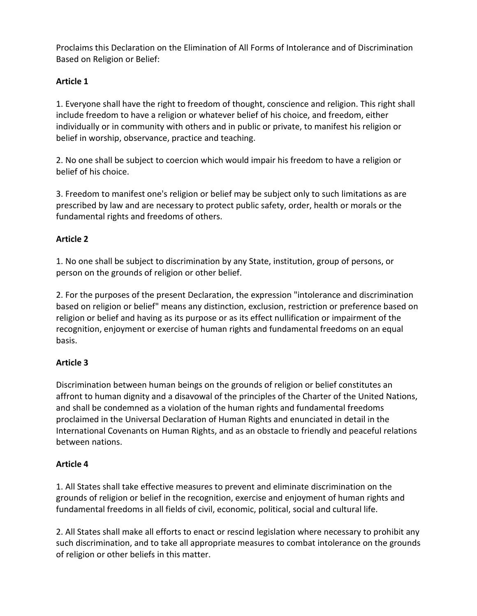Proclaims this Declaration on the Elimination of All Forms of Intolerance and of Discrimination Based on Religion or Belief:

## **Article 1**

1. Everyone shall have the right to freedom of thought, conscience and religion. This right shall include freedom to have a religion or whatever belief of his choice, and freedom, either individually or in community with others and in public or private, to manifest his religion or belief in worship, observance, practice and teaching.

2. No one shall be subject to coercion which would impair his freedom to have a religion or belief of his choice.

3. Freedom to manifest one's religion or belief may be subject only to such limitations as are prescribed by law and are necessary to protect public safety, order, health or morals or the fundamental rights and freedoms of others.

# **Article 2**

1. No one shall be subject to discrimination by any State, institution, group of persons, or person on the grounds of religion or other belief.

2. For the purposes of the present Declaration, the expression "intolerance and discrimination based on religion or belief" means any distinction, exclusion, restriction or preference based on religion or belief and having as its purpose or as its effect nullification or impairment of the recognition, enjoyment or exercise of human rights and fundamental freedoms on an equal basis.

## **Article 3**

Discrimination between human beings on the grounds of religion or belief constitutes an affront to human dignity and a disavowal of the principles of the Charter of the United Nations, and shall be condemned as a violation of the human rights and fundamental freedoms proclaimed in the Universal Declaration of Human Rights and enunciated in detail in the International Covenants on Human Rights, and as an obstacle to friendly and peaceful relations between nations.

## **Article 4**

1. All States shall take effective measures to prevent and eliminate discrimination on the grounds of religion or belief in the recognition, exercise and enjoyment of human rights and fundamental freedoms in all fields of civil, economic, political, social and cultural life.

2. All States shall make all efforts to enact or rescind legislation where necessary to prohibit any such discrimination, and to take all appropriate measures to combat intolerance on the grounds of religion or other beliefs in this matter.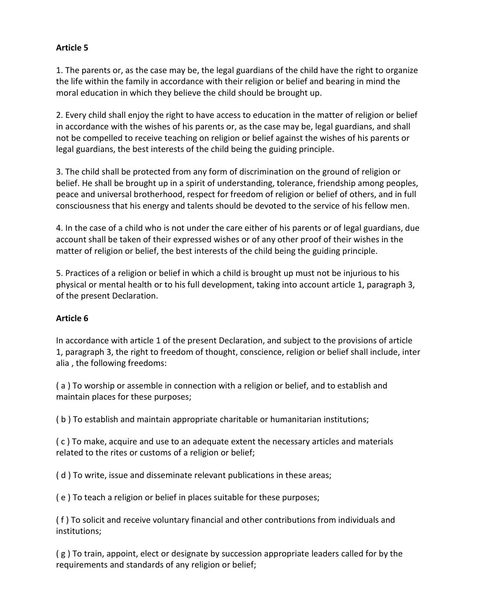### **Article 5**

1. The parents or, as the case may be, the legal guardians of the child have the right to organize the life within the family in accordance with their religion or belief and bearing in mind the moral education in which they believe the child should be brought up.

2. Every child shall enjoy the right to have access to education in the matter of religion or belief in accordance with the wishes of his parents or, as the case may be, legal guardians, and shall not be compelled to receive teaching on religion or belief against the wishes of his parents or legal guardians, the best interests of the child being the guiding principle.

3. The child shall be protected from any form of discrimination on the ground of religion or belief. He shall be brought up in a spirit of understanding, tolerance, friendship among peoples, peace and universal brotherhood, respect for freedom of religion or belief of others, and in full consciousness that his energy and talents should be devoted to the service of his fellow men.

4. In the case of a child who is not under the care either of his parents or of legal guardians, due account shall be taken of their expressed wishes or of any other proof of their wishes in the matter of religion or belief, the best interests of the child being the guiding principle.

5. Practices of a religion or belief in which a child is brought up must not be injurious to his physical or mental health or to his full development, taking into account article 1, paragraph 3, of the present Declaration.

### **Article 6**

In accordance with article 1 of the present Declaration, and subject to the provisions of article 1, paragraph 3, the right to freedom of thought, conscience, religion or belief shall include, inter alia , the following freedoms:

( a ) To worship or assemble in connection with a religion or belief, and to establish and maintain places for these purposes;

( b ) To establish and maintain appropriate charitable or humanitarian institutions;

( c ) To make, acquire and use to an adequate extent the necessary articles and materials related to the rites or customs of a religion or belief;

( d ) To write, issue and disseminate relevant publications in these areas;

( e ) To teach a religion or belief in places suitable for these purposes;

( f ) To solicit and receive voluntary financial and other contributions from individuals and institutions;

( g ) To train, appoint, elect or designate by succession appropriate leaders called for by the requirements and standards of any religion or belief;